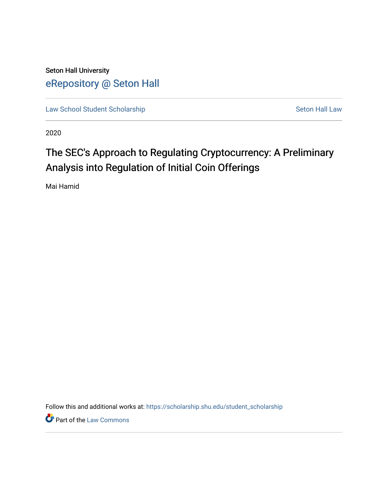Seton Hall University [eRepository @ Seton Hall](https://scholarship.shu.edu/)

[Law School Student Scholarship](https://scholarship.shu.edu/student_scholarship) Seton Hall Law

2020

# The SEC's Approach to Regulating Cryptocurrency: A Preliminary Analysis into Regulation of Initial Coin Offerings

Mai Hamid

Follow this and additional works at: [https://scholarship.shu.edu/student\\_scholarship](https://scholarship.shu.edu/student_scholarship?utm_source=scholarship.shu.edu%2Fstudent_scholarship%2F1033&utm_medium=PDF&utm_campaign=PDFCoverPages) 

**Part of the [Law Commons](http://network.bepress.com/hgg/discipline/578?utm_source=scholarship.shu.edu%2Fstudent_scholarship%2F1033&utm_medium=PDF&utm_campaign=PDFCoverPages)**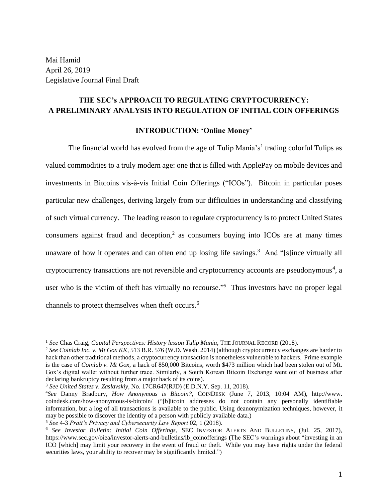Mai Hamid April 26, 2019 Legislative Journal Final Draft

# **THE SEC's APPROACH TO REGULATING CRYPTOCURRENCY: A PRELIMINARY ANALYSIS INTO REGULATION OF INITIAL COIN OFFERINGS**

# **INTRODUCTION: 'Online Money'**

The financial world has evolved from the age of Tulip Mania's<sup>1</sup> trading colorful Tulips as valued commodities to a truly modern age: one that is filled with ApplePay on mobile devices and investments in Bitcoins vis-à-vis Initial Coin Offerings ("ICOs"). Bitcoin in particular poses particular new challenges, deriving largely from our difficulties in understanding and classifying of such virtual currency. The leading reason to regulate cryptocurrency is to protect United States consumers against fraud and deception,<sup>2</sup> as consumers buying into ICOs are at many times unaware of how it operates and can often end up losing life savings.<sup>3</sup> And "[s]ince virtually all cryptocurrency transactions are not reversible and cryptocurrency accounts are pseudonymous<sup>4</sup>, a user who is the victim of theft has virtually no recourse."<sup>5</sup> Thus investors have no proper legal channels to protect themselves when theft occurs. 6

<sup>1</sup> *See* Chas Craig, *Capital Perspectives: History lesson Tulip Mania*, THE JOURNAL RECORD (2018).

<sup>2</sup> *See Coinlab Inc. v. Mt Gox KK*, 513 B.R. 576 (W.D. Wash. 2014) (although cryptocurrency exchanges are harder to hack than other traditional methods, a cryptocurrency transaction is nonetheless vulnerable to hackers. Prime example is the case of *Coinlab v. Mt Gox*, a hack of 850,000 Bitcoins, worth \$473 million which had been stolen out of Mt. Gox's digital wallet without further trace. Similarly, a South Korean Bitcoin Exchange went out of business after declaring bankruptcy resulting from a major hack of its coins).

<sup>3</sup> *See United States v. Zaslavskiy,* No. 17CR647(RJD) (E.D.N.Y. Sep. 11, 2018).

<sup>4</sup>*See* Danny Bradbury, *How Anonymous is Bitcoin?*, COINDESK (June 7, 2013, 10:04 AM), http://www. coindesk.com/how-anonymous-is-bitcoin/ ("[b]itcoin addresses do not contain any personally identifiable information, but a log of all transactions is available to the public. Using deanonymization techniques, however, it may be possible to discover the identity of a person with publicly available data.)

<sup>5</sup> *See* 4-3 *Pratt's Privacy and Cybersecurity Law Report* 02, 1 (2018).

<sup>6</sup> *See Investor Bulletin: Initial Coin Offerings*, SEC INVESTOR ALERTS AND BULLETINS, (Jul. 25, 2017), https://www.sec.gov/oiea/investor-alerts-and-bulletins/ib\_coinofferings **(**The SEC's warnings about "investing in an ICO [which] may limit your recovery in the event of fraud or theft. While you may have rights under the federal securities laws, your ability to recover may be significantly limited.")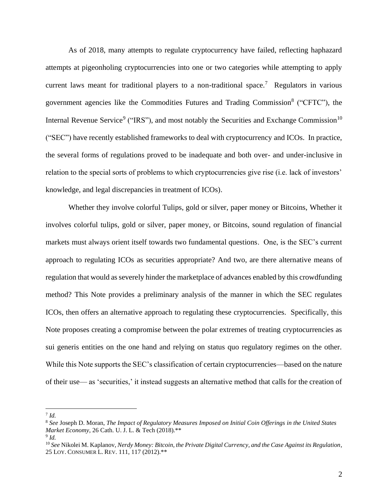As of 2018, many attempts to regulate cryptocurrency have failed, reflecting haphazard attempts at pigeonholing cryptocurrencies into one or two categories while attempting to apply current laws meant for traditional players to a non-traditional space.<sup>7</sup> Regulators in various government agencies like the Commodities Futures and Trading Commission<sup>8</sup> ("CFTC"), the Internal Revenue Service<sup>9</sup> ("IRS"), and most notably the Securities and Exchange Commission<sup>10</sup> ("SEC") have recently established frameworks to deal with cryptocurrency and ICOs. In practice, the several forms of regulations proved to be inadequate and both over- and under-inclusive in relation to the special sorts of problems to which cryptocurrencies give rise (i.e. lack of investors' knowledge, and legal discrepancies in treatment of ICOs).

Whether they involve colorful Tulips, gold or silver, paper money or Bitcoins, Whether it involves colorful tulips, gold or silver, paper money, or Bitcoins, sound regulation of financial markets must always orient itself towards two fundamental questions. One, is the SEC's current approach to regulating ICOs as securities appropriate? And two, are there alternative means of regulation that would as severely hinder the marketplace of advances enabled by this crowdfunding method? This Note provides a preliminary analysis of the manner in which the SEC regulates ICOs, then offers an alternative approach to regulating these cryptocurrencies. Specifically, this Note proposes creating a compromise between the polar extremes of treating cryptocurrencies as sui generis entities on the one hand and relying on status quo regulatory regimes on the other. While this Note supports the SEC's classification of certain cryptocurrencies—based on the nature of their use— as 'securities,' it instead suggests an alternative method that calls for the creation of

7 *Id.*

<sup>8</sup> *See* Joseph D. Moran, *The Impact of Regulatory Measures Imposed on Initial Coin Offerings in the United States Market Economy*, 26 Cath. U. J. L. & Tech (2018).\*\*

<sup>9</sup> *Id.*

<sup>10</sup> *See* Nikolei M. Kaplanov, *Nerdy Money: Bitcoin, the Private Digital Currency, and the Case Against its Regulation*, 25 LOY. CONSUMER L. REV. 111, 117 (2012).\*\*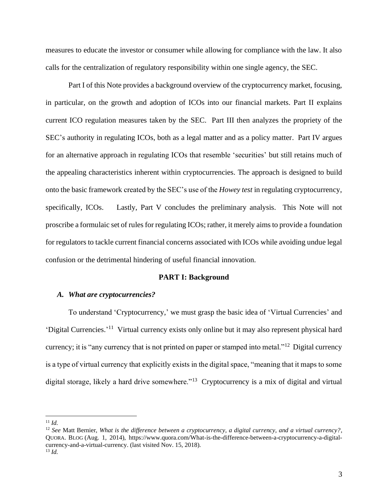measures to educate the investor or consumer while allowing for compliance with the law. It also calls for the centralization of regulatory responsibility within one single agency, the SEC.

Part I of this Note provides a background overview of the cryptocurrency market, focusing, in particular, on the growth and adoption of ICOs into our financial markets. Part II explains current ICO regulation measures taken by the SEC. Part III then analyzes the propriety of the SEC's authority in regulating ICOs, both as a legal matter and as a policy matter. Part IV argues for an alternative approach in regulating ICOs that resemble 'securities' but still retains much of the appealing characteristics inherent within cryptocurrencies. The approach is designed to build onto the basic framework created by the SEC's use of the *Howey test* in regulating cryptocurrency, specifically, ICOs. Lastly, Part V concludes the preliminary analysis. This Note will not proscribe a formulaic set of rules for regulating ICOs; rather, it merely aims to provide a foundation for regulators to tackle current financial concerns associated with ICOs while avoiding undue legal confusion or the detrimental hindering of useful financial innovation.

#### **PART I: Background**

#### *A. What are cryptocurrencies?*

To understand 'Cryptocurrency,' we must grasp the basic idea of 'Virtual Currencies' and 'Digital Currencies.'<sup>11</sup> Virtual currency exists only online but it may also represent physical hard currency; it is "any currency that is not printed on paper or stamped into metal."<sup>12</sup> Digital currency is a type of virtual currency that explicitly exists in the digital space, "meaning that it maps to some digital storage, likely a hard drive somewhere."<sup>13</sup> Cryptocurrency is a mix of digital and virtual

<sup>11</sup> *Id.*

<sup>12</sup> *See* Matt Bernier, *What is the difference between a cryptocurrency, a digital currency, and a virtual currency?*, QUORA. BLOG (Aug. 1, 2014), https://www.quora.com/What-is-the-difference-between-a-cryptocurrency-a-digitalcurrency-and-a-virtual-currency. (last visited Nov. 15, 2018). <sup>13</sup> *Id.*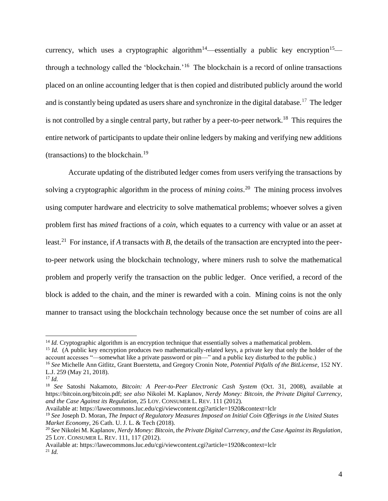currency, which uses a cryptographic algorithm<sup>14</sup>—essentially a public key encryption<sup>15</sup> through a technology called the 'blockchain.'<sup>16</sup> The blockchain is a record of online transactions placed on an online accounting ledger that is then copied and distributed publicly around the world and is constantly being updated as users share and synchronize in the digital database.<sup>17</sup> The ledger is not controlled by a single central party, but rather by a peer-to-peer network.<sup>18</sup> This requires the entire network of participants to update their online ledgers by making and verifying new additions (transactions) to the blockchain.<sup>19</sup>

Accurate updating of the distributed ledger comes from users verifying the transactions by solving a cryptographic algorithm in the process of *mining coins*. 20 The mining process involves using computer hardware and electricity to solve mathematical problems; whoever solves a given problem first has *mined* fractions of a *coin*, which equates to a currency with value or an asset at least.<sup>21</sup> For instance, if *A* transacts with *B*, the details of the transaction are encrypted into the peerto-peer network using the blockchain technology, where miners rush to solve the mathematical problem and properly verify the transaction on the public ledger. Once verified, a record of the block is added to the chain, and the miner is rewarded with a coin. Mining coins is not the only manner to transact using the blockchain technology because once the set number of coins are all

Available at: https://lawecommons.luc.edu/cgi/viewcontent.cgi?article=1920&context=lclr

Available at: https://lawecommons.luc.edu/cgi/viewcontent.cgi?article=1920&context=lclr <sup>21</sup> *Id.*

<sup>&</sup>lt;sup>14</sup> *Id.* Cryptographic algorithm is an encryption technique that essentially solves a mathematical problem.

<sup>&</sup>lt;sup>15</sup> *Id.* (A public key encryption produces two mathematically-related keys, a private key that only the holder of the account accesses "—somewhat like a private password or pin—" and a public key disturbed to the public.)

<sup>16</sup> *See* Michelle Ann Gitlitz, Grant Buerstetta, and Gregory Cronin Note, *Potential Pitfalls of the BitLicense*, 152 NY. L.J. 259 (May 21, 2018).

<sup>17</sup> *Id.*

<sup>18</sup> *See* Satoshi Nakamoto, *Bitcoin: A Peer-to-Peer Electronic Cash System* (Oct. 31, 2008), available at https://bitcoin.org/bitcoin.pdf; *see also* Nikolei M. Kaplanov, *Nerdy Money: Bitcoin, the Private Digital Currency, and the Case Against its Regulation*, 25 LOY. CONSUMER L. REV. 111 (2012).

<sup>19</sup> *See* Joseph D. Moran, *The Impact of Regulatory Measures Imposed on Initial Coin Offerings in the United States Market Economy*, 26 Cath. U. J. L. & Tech (2018).

<sup>20</sup> *See* Nikolei M. Kaplanov, *Nerdy Money: Bitcoin, the Private Digital Currency, and the Case Against its Regulation*, 25 LOY. CONSUMER L. REV. 111, 117 (2012).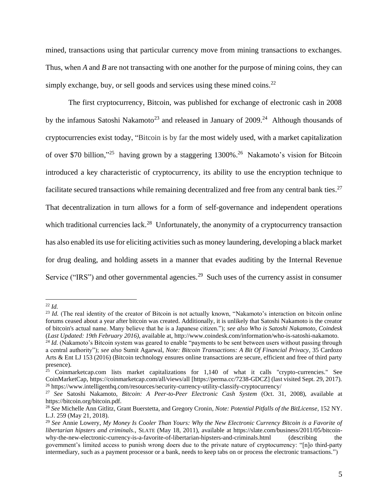mined, transactions using that particular currency move from mining transactions to exchanges. Thus, when *A* and *B* are not transacting with one another for the purpose of mining coins, they can simply exchange, buy, or sell goods and services using these mined coins.<sup>22</sup>

The first cryptocurrency, Bitcoin, was published for exchange of electronic cash in 2008 by the infamous Satoshi Nakamoto<sup>23</sup> and released in January of  $2009$ <sup>24</sup> Although thousands of cryptocurrencies exist today, "Bitcoin is by far the most widely used, with a market capitalization of over \$70 billion,"<sup>25</sup> having grown by a staggering 1300%.<sup>26</sup> Nakamoto's vision for Bitcoin introduced a key characteristic of cryptocurrency, its ability to use the encryption technique to facilitate secured transactions while remaining decentralized and free from any central bank ties.<sup>27</sup> That decentralization in turn allows for a form of self-governance and independent operations which traditional currencies lack.<sup>28</sup> Unfortunately, the anonymity of a cryptocurrency transaction has also enabled its use for eliciting activities such as money laundering, developing a black market for drug dealing, and holding assets in a manner that evades auditing by the Internal Revenue Service ("IRS") and other governmental agencies.<sup>29</sup> Such uses of the currency assist in consumer

<sup>22</sup> *Id.*

<sup>&</sup>lt;sup>23</sup> *Id.* (The real identity of the creator of Bitcoin is not actually known, "Nakamoto's interaction on bitcoin online forums ceased about a year after bitcoin was created. Additionally, it is unlikely that Satoshi Nakamoto is the creator of bitcoin's actual name. Many believe that he is a Japanese citizen."); *see also Who is Satoshi Nakamoto, Coindesk* (*Last Updated: 19th February 2016)*, available at, http://www.coindesk.com/information/who-is-satoshi-nakamoto.

<sup>&</sup>lt;sup>24</sup> *Id.* (Nakamoto's Bitcoin system was geared to enable "payments to be sent between users without passing through a central authority"); *see also* Sumit Agarwal, *Note: Bitcoin Transactions: A Bit Of Financial Privacy*, 35 Cardozo Arts & Ent LJ 153 (2016) (Bitcoin technology ensures online transactions are secure, efficient and free of third party presence).

 $25$  Coinmarketcap.com lists market capitalizations for 1,140 of what it calls "crypto-currencies." See CoinMarketCap, https://coinmarketcap.com/all/views/all [https://perma.cc/7238-GDCZ] (last visited Sept. 29, 2017). <sup>26</sup> https://www.intelligenthq.com/resources/security-currency-utility-classify-cryptocurrency/

<sup>27</sup> *See* Satoshi Nakamoto, *Bitcoin: A Peer-to-Peer Electronic Cash System* (Oct. 31, 2008), available at https://bitcoin.org/bitcoin.pdf.

<sup>28</sup> *See* Michelle Ann Gitlitz, Grant Buerstetta, and Gregory Cronin, *Note: Potential Pitfalls of the BitLicense*, 152 NY. L.J. 259 (May 21, 2018).

<sup>29</sup> *See* Annie Lowery, *My Money Is Cooler Than Yours: Why the New Electronic Currency Bitcoin is a Favorite of libertarian hipsters and criminals.,* SLATE (May 18, 2011), available at https://slate.com/business/2011/05/bitcoinwhy-the-new-electronic-currency-is-a-favorite-of-libertarian-hipsters-and-criminals.html (describing the government's limited access to punish wrong doers due to the private nature of cryptocurrency: "[n]o third-party intermediary, such as a payment processor or a bank, needs to keep tabs on or process the electronic transactions.")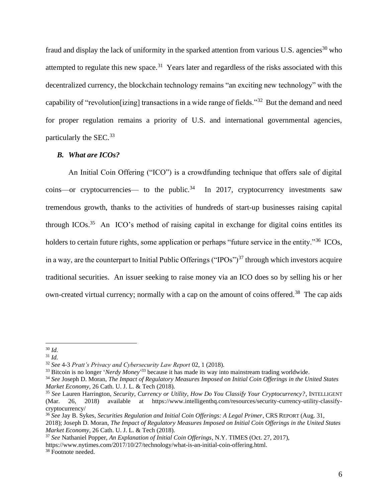fraud and display the lack of uniformity in the sparked attention from various U.S. agencies<sup>30</sup> who attempted to regulate this new space.<sup>31</sup> Years later and regardless of the risks associated with this decentralized currency, the blockchain technology remains "an exciting new technology" with the capability of "revolution[izing] transactions in a wide range of fields."<sup>32</sup> But the demand and need for proper regulation remains a priority of U.S. and international governmental agencies, particularly the SEC.<sup>33</sup>

#### *B. What are ICOs?*

An Initial Coin Offering ("ICO") is a crowdfunding technique that offers sale of digital  $\text{coins}\text{---}$  or cryptocurrencies— to the public.<sup>34</sup> In 2017, cryptocurrency investments saw tremendous growth, thanks to the activities of hundreds of start-up businesses raising capital through ICOs.<sup>35</sup> An ICO's method of raising capital in exchange for digital coins entitles its holders to certain future rights, some application or perhaps "future service in the entity."<sup>36</sup> ICOs, in a way, are the counterpart to Initial Public Offerings ("IPOs")<sup>37</sup> through which investors acquire traditional securities. An issuer seeking to raise money via an ICO does so by selling his or her own-created virtual currency; normally with a cap on the amount of coins offered.<sup>38</sup> The cap aids

<sup>30</sup> *Id.*

<sup>31</sup> *Id.*

<sup>32</sup> *See* 4-3 *Pratt's Privacy and Cybersecurity Law Report* 02, 1 (2018).

<sup>33</sup> Bitcoin is no longer '*Nerdy Money*' <sup>33</sup> because it has made its way into mainstream trading worldwide.

<sup>34</sup> *See* Joseph D. Moran, *The Impact of Regulatory Measures Imposed on Initial Coin Offerings in the United States Market Economy*, 26 Cath. U. J. L. & Tech (2018).

<sup>35</sup> *See* Lauren Harrington, *Security, Currency or Utility, How Do You Classify Your Cryptocurrency?*, INTELLIGENT (Mar. 26, 2018) available at https://www.intelligenthq.com/resources/security-currency-utility-classifycryptocurrency/

<sup>36</sup> *See* Jay B. Sykes, *Securities Regulation and Initial Coin Offerings: A Legal Primer*, CRS REPORT (Aug. 31, 2018); Joseph D. Moran, *The Impact of Regulatory Measures Imposed on Initial Coin Offerings in the United States Market Economy*, 26 Cath. U. J. L. & Tech (2018).

<sup>37</sup> *See* Nathaniel Popper, *An Explanation of Initial Coin Offerings*, N.Y. TIMES (Oct. 27, 2017),

https://www.nytimes.com/2017/10/27/technology/what-is-an-initial-coin-offering.html.

<sup>38</sup> Footnote needed.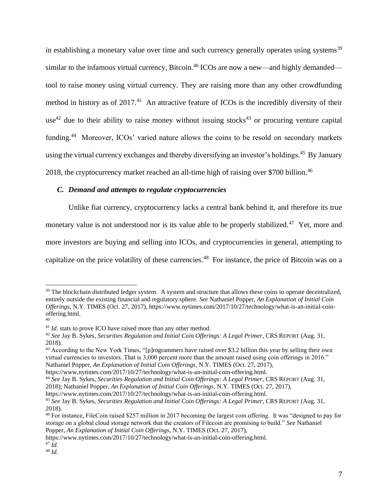in establishing a monetary value over time and such currency generally operates using systems<sup>39</sup> similar to the infamous virtual currency, Bitcoin.<sup>40</sup> ICOs are now a new—and highly demanded tool to raise money using virtual currency. They are raising more than any other crowdfunding method in history as of  $2017<sup>41</sup>$  An attractive feature of ICOs is the incredibly diversity of their use<sup>42</sup> due to their ability to raise money without issuing stocks<sup>43</sup> or procuring venture capital funding.<sup>44</sup> Moreover, ICOs' varied nature allows the coins to be resold on secondary markets using the virtual currency exchanges and thereby diversifying an investor's holdings.<sup>45</sup> By January 2018, the cryptocurrency market reached an all-time high of raising over \$700 billion.<sup>46</sup>

## *C. Demand and attempts to regulate cryptocurrencies*

Unlike fiat currency, cryptocurrency lacks a central bank behind it, and therefore its true monetary value is not understood nor is its value able to be properly stabilized.<sup>47</sup> Yet, more and more investors are buying and selling into ICOs, and cryptocurrencies in general, attempting to capitalize on the price volatility of these currencies.<sup>48</sup> For instance, the price of Bitcoin was on a

https://www.nytimes.com/2017/10/27/technology/what-is-an-initial-coin-offering.html.

https://www.nytimes.com/2017/10/27/technology/what-is-an-initial-coin-offering.html.

 $39$  The blockchain distributed ledger system. A system and structure that allows these coins to operate decentralized, entirely outside the existing financial and regulatory sphere. *See* Nathaniel Popper, *An Explanation of Initial Coin Offerings*, N.Y. TIMES (Oct. 27, 2017), https://www.nytimes.com/2017/10/27/technology/what-is-an-initial-coinoffering.html. 40

<sup>&</sup>lt;sup>41</sup> *Id.* stats to prove ICO have raised more than any other method.

<sup>42</sup> *See* Jay B. Sykes, *Securities Regulation and Initial Coin Offerings: A Legal Primer*, CRS REPORT (Aug. 31, 2018).

<sup>&</sup>lt;sup>43</sup> According to the New York Times, "[p]rogrammers have raised over \$3.2 billion this year by selling their own virtual currencies to investors. That is 3,000 percent more than the amount raised using coin offerings in 2016." Nathaniel Popper, *An Explanation of Initial Coin Offerings*, N.Y. TIMES (Oct. 27, 2017),

<sup>44</sup> *See* Jay B. Sykes, *Securities Regulation and Initial Coin Offerings: A Legal Primer*, CRS REPORT (Aug. 31, 2018); Nathaniel Popper, *An Explanation of Initial Coin Offerings*, N.Y. TIMES (Oct. 27, 2017),

https://www.nytimes.com/2017/10/27/technology/what-is-an-initial-coin-offering.html.

<sup>45</sup> *See* Jay B. Sykes, *Securities Regulation and Initial Coin Offerings: A Legal Primer*, CRS REPORT (Aug. 31, 2018).

<sup>46</sup> For instance, FileCoin raised \$257 million in 2017 becoming the largest coin offering. It was "designed to pay for storage on a global cloud storage network that the creators of Filecoin are promising to build." *See* Nathaniel Popper, *An Explanation of Initial Coin Offerings*, N.Y. TIMES (Oct. 27, 2017),

<sup>47</sup> *Id.*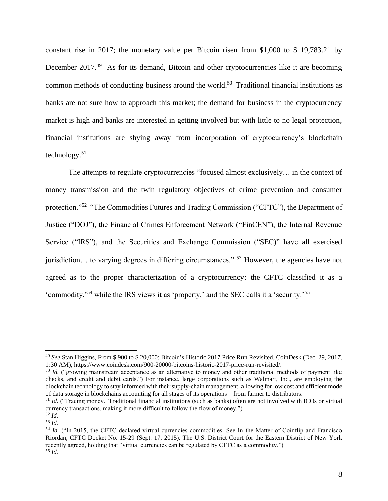constant rise in 2017; the monetary value per Bitcoin risen from \$1,000 to \$ 19,783.21 by December 2017.<sup>49</sup> As for its demand, Bitcoin and other cryptocurrencies like it are becoming common methods of conducting business around the world.<sup>50</sup> Traditional financial institutions as banks are not sure how to approach this market; the demand for business in the cryptocurrency market is high and banks are interested in getting involved but with little to no legal protection, financial institutions are shying away from incorporation of cryptocurrency's blockchain technology.<sup>51</sup>

The attempts to regulate cryptocurrencies "focused almost exclusively… in the context of money transmission and the twin regulatory objectives of crime prevention and consumer protection."<sup>52</sup> "The Commodities Futures and Trading Commission ("CFTC"), the Department of Justice ("DOJ"), the Financial Crimes Enforcement Network ("FinCEN"), the Internal Revenue Service ("IRS"), and the Securities and Exchange Commission ("SEC)" have all exercised jurisdiction… to varying degrees in differing circumstances." <sup>53</sup> However, the agencies have not agreed as to the proper characterization of a cryptocurrency: the CFTC classified it as a 'commodity,<sup>54</sup> while the IRS views it as 'property,' and the SEC calls it a 'security.<sup>55</sup>

<sup>49</sup> *See* Stan Higgins, From \$ 900 to \$ 20,000: Bitcoin's Historic 2017 Price Run Revisited, CoinDesk (Dec. 29, 2017, 1:30 AM), https://www.coindesk.com/900-20000-bitcoins-historic-2017-price-run-revisited/.

<sup>&</sup>lt;sup>50</sup> *Id.* ("growing mainstream acceptance as an alternative to money and other traditional methods of payment like checks, and credit and debit cards.") For instance, large corporations such as Walmart, Inc., are employing the blockchain technology to stay informed with their supply-chain management, allowing for low cost and efficient mode of data storage in blockchains accounting for all stages of its operations—from farmer to distributors.

<sup>&</sup>lt;sup>51</sup> *Id.* ("Tracing money. Traditional financial institutions (such as banks) often are not involved with ICOs or virtual currency transactions, making it more difficult to follow the flow of money.")

<sup>52</sup> *Id.*

<sup>53</sup> *Id.*

<sup>&</sup>lt;sup>54</sup> *Id.* ("In 2015, the CFTC declared virtual currencies commodities. See In the Matter of Coinflip and Francisco Riordan, CFTC Docket No. 15-29 (Sept. 17, 2015). The U.S. District Court for the Eastern District of New York recently agreed, holding that "virtual currencies can be regulated by CFTC as a commodity.") <sup>55</sup> *Id.*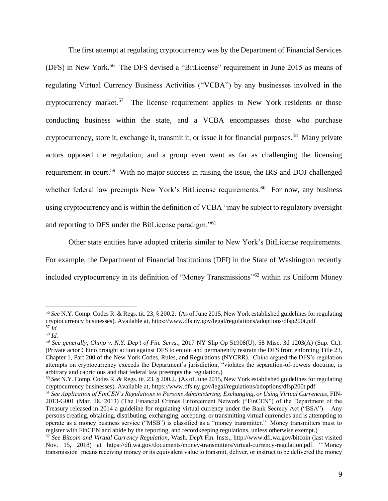The first attempt at regulating cryptocurrency was by the Department of Financial Services (DFS) in New York.<sup>56</sup> The DFS devised a "BitLicense" requirement in June 2015 as means of regulating Virtual Currency Business Activities ("VCBA") by any businesses involved in the cryptocurrency market.<sup>57</sup> The license requirement applies to New York residents or those conducting business within the state, and a VCBA encompasses those who purchase cryptocurrency, store it, exchange it, transmit it, or issue it for financial purposes.<sup>58</sup> Many private actors opposed the regulation, and a group even went as far as challenging the licensing requirement in court.<sup>59</sup> With no major success in raising the issue, the IRS and DOJ challenged whether federal law preempts New York's BitLicense requirements.<sup>60</sup> For now, any business using cryptocurrency and is within the definition of VCBA "may be subject to regulatory oversight and reporting to DFS under the BitLicense paradigm."<sup>61</sup>

Other state entities have adopted criteria similar to New York's BitLicense requirements. For example, the Department of Financial Institutions (DFI) in the State of Washington recently

included cryptocurrency in its definition of "Money Transmissions"<sup>62</sup> within its Uniform Money

<sup>56</sup> *See* N.Y. Comp. Codes R. & Regs. tit. 23, § 200.2. (As of June 2015, New York established guidelines for regulating cryptocurrency businesses). Available at, https://www.dfs.ny.gov/legal/regulations/adoptions/dfsp200t.pdf <sup>57</sup> *Id.*

<sup>58</sup> *Id.*

<sup>59</sup> *See generally*, *Chino v. N.Y. Dep't of Fin. Servs.,* 2017 NY Slip Op 51908(U), 58 Misc. 3d 1203(A) (Sup. Ct.). (Private actor Chino brought action against DFS to enjoin and permanently restrain the DFS from enforcing Title 23, Chapter 1, Part 200 of the New York Codes, Rules, and Regulations (NYCRR). Chino argued the DFS's regulation attempts on cryptocurrency exceeds the Department's jurisdiction, "violates the separation-of-powers doctrine, is arbitrary and capricious and that federal law preempts the regulation.)

<sup>60</sup> *See* N.Y. Comp. Codes R. & Regs. tit. 23, § 200.2. (As of June 2015, New York established guidelines for regulating cryptocurrency businesses). Available at, https://www.dfs.ny.gov/legal/regulations/adoptions/dfsp200t.pdf

<sup>61</sup> *See Application of FinCEN's Regulations to Persons Administering, Exchanging, or Using Virtual Currencies*, FIN-2013-G001 (Mar. 18, 2013) (The Financial Crimes Enforcement Network ("FinCEN") of the Department of the Treasury released in 2014 a guideline for regulating virtual currency under the Bank Secrecy Act ("BSA"). Any persons creating, obtaining, distributing, exchanging, accepting, or transmitting virtual currencies and is attempting to operate as a money business service ("MSB") is classified as a "money transmitter." Money transmitters must to register with FinCEN and abide by the reporting, and recordkeeping regulations, unless otherwise exempt.)

<sup>62</sup> *See Bitcoin and Virtual Currency Regulation*, Wash. Dep't Fin. Insts., http://www.dfi.wa.gov/bitcoin (last visited Nov. 15, 2018) at https://dfi.wa.gov/documents/money-transmitters/virtual-currency-regulation.pdf. "'Money transmission' means receiving money or its equivalent value to transmit, deliver, or instruct to be delivered the money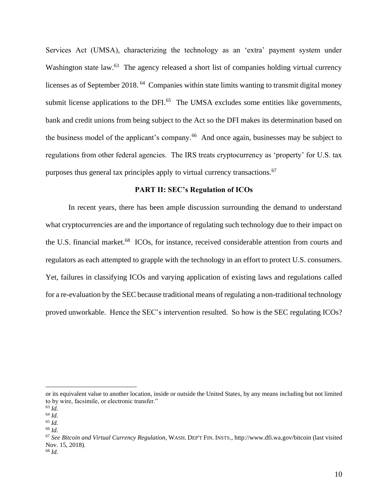Services Act (UMSA), characterizing the technology as an 'extra' payment system under Washington state law.<sup>63</sup> The agency released a short list of companies holding virtual currency licenses as of September 2018.<sup>64</sup> Companies within state limits wanting to transmit digital money submit license applications to the DFI. $<sup>65</sup>$  The UMSA excludes some entities like governments,</sup> bank and credit unions from being subject to the Act so the DFI makes its determination based on the business model of the applicant's company.<sup>66</sup> And once again, businesses may be subject to regulations from other federal agencies. The IRS treats cryptocurrency as 'property' for U.S. tax purposes thus general tax principles apply to virtual currency transactions.<sup>67</sup>

#### **PART II: SEC's Regulation of ICOs**

In recent years, there has been ample discussion surrounding the demand to understand what cryptocurrencies are and the importance of regulating such technology due to their impact on the U.S. financial market.<sup>68</sup> ICOs, for instance, received considerable attention from courts and regulators as each attempted to grapple with the technology in an effort to protect U.S. consumers. Yet, failures in classifying ICOs and varying application of existing laws and regulations called for a re-evaluation by the SEC because traditional means of regulating a non-traditional technology proved unworkable. Hence the SEC's intervention resulted. So how is the SEC regulating ICOs?

or its equivalent value to another location, inside or outside the United States, by any means including but not limited to by wire, facsimile, or electronic transfer."

 $^{63}$  *Id.* 

<sup>64</sup> *Id.*

<sup>65</sup> *Id.* <sup>66</sup> *Id.*

<sup>67</sup> *See Bitcoin and Virtual Currency Regulation*, WASH. DEP'T FIN. INSTS., http://www.dfi.wa.gov/bitcoin (last visited Nov. 15, 2018). <sup>68</sup> *Id.*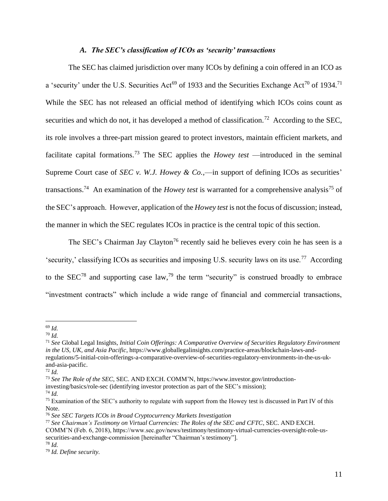# *A. The SEC's classification of ICOs as 'security' transactions*

The SEC has claimed jurisdiction over many ICOs by defining a coin offered in an ICO as a 'security' under the U.S. Securities Act<sup>69</sup> of 1933 and the Securities Exchange Act<sup>70</sup> of 1934.<sup>71</sup> While the SEC has not released an official method of identifying which ICOs coins count as securities and which do not, it has developed a method of classification.<sup>72</sup> According to the SEC, its role involves a three-part mission geared to protect investors, maintain efficient markets, and facilitate capital formations.<sup>73</sup> The SEC applies the *Howey test* —introduced in the seminal Supreme Court case of *SEC v. W.J. Howey & Co.,*—in support of defining ICOs as securities' transactions.<sup>74</sup> An examination of the *Howey test* is warranted for a comprehensive analysis<sup>75</sup> of the SEC's approach. However, application of the *Howey test* is not the focus of discussion; instead, the manner in which the SEC regulates ICOs in practice is the central topic of this section.

The SEC's Chairman Jay Clayton<sup>76</sup> recently said he believes every coin he has seen is a 'security,' classifying ICOs as securities and imposing U.S. security laws on its use.<sup>77</sup> According to the SEC<sup>78</sup> and supporting case law,<sup>79</sup> the term "security" is construed broadly to embrace "investment contracts" which include a wide range of financial and commercial transactions,

<sup>69</sup> *Id.*

<sup>70</sup> *Id.*

<sup>71</sup> *See* Global Legal Insights, *Initial Coin Offerings: A Comparative Overview of Securities Regulatory Environment in the US, UK, and Asia Pacific*, https://www.globallegalinsights.com/practice-areas/blockchain-laws-andregulations/5-initial-coin-offerings-a-comparative-overview-of-securities-regulatory-environments-in-the-us-ukand-asia-pacific.

<sup>72</sup> *Id.*

<sup>73</sup> *See The Role of the SEC*, SEC. AND EXCH. COMM'N, https://www.investor.gov/introduction-

investing/basics/role-sec (identifying investor protection as part of the SEC's mission);

<sup>74</sup> *Id.*

<sup>75</sup> Examination of the SEC's authority to regulate with support from the Howey test is discussed in Part IV of this Note.

<sup>76</sup> *See SEC Targets ICOs in Broad Cryptocurrency Markets Investigation*

<sup>77</sup> *See Chairman's Testimony on Virtual Currencies: The Roles of the SEC and CFTC*, SEC. AND EXCH.

COMM'N (Feb. 6, 2018), https://www.sec.gov/news/testimony/testimony-virtual-currencies-oversight-role-ussecurities-and-exchange-commission [hereinafter "Chairman's testimony"].

<sup>78</sup> *Id.*

<sup>79</sup> *Id. Define security.*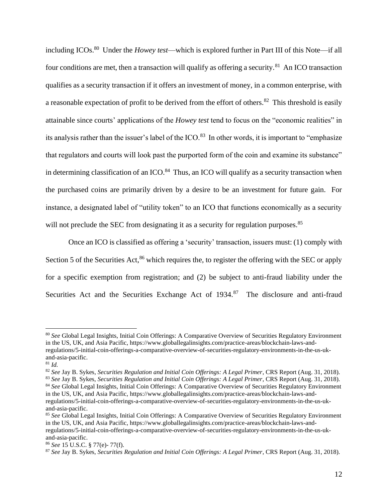including ICOs.<sup>80</sup> Under the *Howey test*—which is explored further in Part III of this Note—if all four conditions are met, then a transaction will qualify as offering a security.<sup>81</sup> An ICO transaction qualifies as a security transaction if it offers an investment of money, in a common enterprise, with a reasonable expectation of profit to be derived from the effort of others.<sup>82</sup> This threshold is easily attainable since courts' applications of the *Howey test* tend to focus on the "economic realities" in its analysis rather than the issuer's label of the ICO.<sup>83</sup> In other words, it is important to "emphasize" that regulators and courts will look past the purported form of the coin and examine its substance" in determining classification of an ICO. $84$  Thus, an ICO will qualify as a security transaction when the purchased coins are primarily driven by a desire to be an investment for future gain. For instance, a designated label of "utility token" to an ICO that functions economically as a security will not preclude the SEC from designating it as a security for regulation purposes.<sup>85</sup>

Once an ICO is classified as offering a 'security' transaction, issuers must: (1) comply with Section 5 of the Securities Act,<sup>86</sup> which requires the, to register the offering with the SEC or apply for a specific exemption from registration; and (2) be subject to anti-fraud liability under the Securities Act and the Securities Exchange Act of 1934.<sup>87</sup> The disclosure and anti-fraud

<sup>80</sup> *See* Global Legal Insights, Initial Coin Offerings: A Comparative Overview of Securities Regulatory Environment in the US, UK, and Asia Pacific, https://www.globallegalinsights.com/practice-areas/blockchain-laws-andregulations/5-initial-coin-offerings-a-comparative-overview-of-securities-regulatory-environments-in-the-us-ukand-asia-pacific.

<sup>81</sup> *Id.*

<sup>82</sup> *See* Jay B. Sykes, *Securities Regulation and Initial Coin Offerings: A Legal Primer*, CRS Report (Aug. 31, 2018).

<sup>83</sup> *See* Jay B. Sykes, *Securities Regulation and Initial Coin Offerings: A Legal Primer*, CRS Report (Aug. 31, 2018).

<sup>84</sup> *See* Global Legal Insights, Initial Coin Offerings: A Comparative Overview of Securities Regulatory Environment in the US, UK, and Asia Pacific, https://www.globallegalinsights.com/practice-areas/blockchain-laws-andregulations/5-initial-coin-offerings-a-comparative-overview-of-securities-regulatory-environments-in-the-us-ukand-asia-pacific.

<sup>&</sup>lt;sup>85</sup> See Global Legal Insights, Initial Coin Offerings: A Comparative Overview of Securities Regulatory Environment in the US, UK, and Asia Pacific, https://www.globallegalinsights.com/practice-areas/blockchain-laws-andregulations/5-initial-coin-offerings-a-comparative-overview-of-securities-regulatory-environments-in-the-us-ukand-asia-pacific.

<sup>86</sup> *See* 15 U.S.C. § 77(e)- 77(f).

<sup>87</sup> *See* Jay B. Sykes, *Securities Regulation and Initial Coin Offerings: A Legal Primer*, CRS Report (Aug. 31, 2018).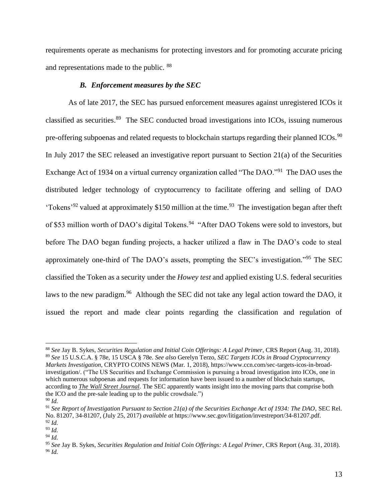requirements operate as mechanisms for protecting investors and for promoting accurate pricing and representations made to the public. <sup>88</sup>

#### *B. Enforcement measures by the SEC*

As of late 2017, the SEC has pursued enforcement measures against unregistered ICOs it classified as securities. 89 The SEC conducted broad investigations into ICOs, issuing numerous pre-offering subpoenas and related requests to blockchain startups regarding their planned ICOs.<sup>90</sup> In July 2017 the SEC released an investigative report pursuant to Section 21(a) of the Securities Exchange Act of 1934 on a virtual currency organization called "The DAO."<sup>91</sup> The DAO uses the distributed ledger technology of cryptocurrency to facilitate offering and selling of DAO 'Tokens'<sup>92</sup> valued at approximately \$150 million at the time.<sup>93</sup> The investigation began after theft of \$53 million worth of DAO's digital Tokens.<sup>94</sup> "After DAO Tokens were sold to investors, but before The DAO began funding projects, a hacker utilized a flaw in The DAO's code to steal approximately one-third of The DAO's assets, prompting the SEC's investigation."<sup>95</sup> The SEC classified the Token as a security under the *Howey test* and applied existing U.S. federal securities laws to the new paradigm.<sup>96</sup> Although the SEC did not take any legal action toward the DAO, it issued the report and made clear points regarding the classification and regulation of

<sup>88</sup> *See* Jay B. Sykes, *Securities Regulation and Initial Coin Offerings: A Legal Primer*, CRS Report (Aug. 31, 2018). <sup>89</sup> *See* 15 U.S.C.A. § 78e, 15 USCA § 78e. *See als*o Gerelyn Terzo, *SEC Targets ICOs in Broad Cryptocurrency Markets Investigation*, CRYPTO COINS NEWS (Mar. 1, 2018), https://www.ccn.com/sec-targets-icos-in-broadinvestigation/. ("The US Securities and Exchange Commission is pursuing a broad investigation into ICOs, one in which numerous subpoenas and requests for information have been issued to a number of blockchain startups, according to *[The Wall Street Journal.](https://www.wsj.com/articles/sec-launches-cryptocurrency-probe-1519856266?mod=searchresults&page=1&pos=1)* The SEC apparently wants insight into the moving parts that comprise both the ICO and the pre-sale leading up to the public crowdsale.")

<sup>90</sup> *Id.*

<sup>91</sup> *See Report of Investigation Pursuant to Section 21(a) of the Securities Exchange Act of 1934: The DAO*, SEC Rel. No. 81207, 34-81207, (July 25, 2017) *available at* https://www.sec.gov/litigation/investreport/34-81207.pdf. <sup>92</sup> *Id.*

<sup>93</sup> *Id.*

<sup>94</sup> *Id.*

<sup>95</sup> *See* Jay B. Sykes, *Securities Regulation and Initial Coin Offerings: A Legal Primer*, CRS Report (Aug. 31, 2018). <sup>96</sup> *Id.*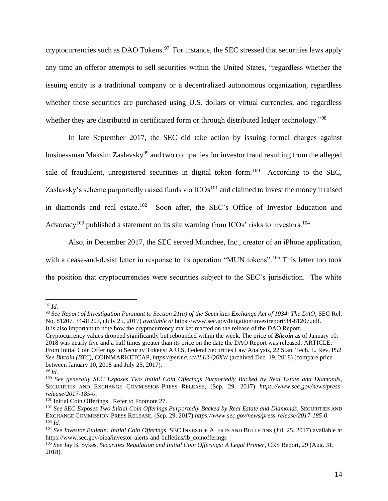cryptocurrencies such as DAO Tokens. $97$  For instance, the SEC stressed that securities laws apply any time an offeror attempts to sell securities within the United States, "regardless whether the issuing entity is a traditional company or a decentralized autonomous organization, regardless whether those securities are purchased using U.S. dollars or virtual currencies, and regardless whether they are distributed in certificated form or through distributed ledger technology."<sup>98</sup>

In late September 2017, the SEC did take action by issuing formal charges against businessman Maksim Zaslavsky<sup>99</sup> and two companies for investor fraud resulting from the alleged sale of fraudulent, unregistered securities in digital token form.<sup>100</sup> According to the SEC, Zaslavsky's scheme purportedly raised funds via  $ICOs<sup>101</sup>$  and claimed to invest the money it raised in diamonds and real estate.<sup>102</sup> Soon after, the SEC's Office of Investor Education and Advocacy<sup>103</sup> published a statement on its site warning from ICOs' risks to investors.<sup>104</sup>

Also, in December 2017, the SEC served Munchee, Inc., creator of an iPhone application, with a cease-and-desist letter in response to its operation "MUN tokens".<sup>105</sup> This letter too took the position that cryptocurrencies were securities subject to the SEC's jurisdiction. The white

<sup>97</sup> *Id.*

<sup>98</sup> *See Report of Investigation Pursuant to Section 21(a) of the Securities Exchange Act of 1934: The DAO*, SEC Rel. No. 81207, 34-81207, (July 25, 2017) *available at* https://www.sec.gov/litigation/investreport/34-81207.pdf. It is also important to note how the cryptocurrency market reacted on the release of the DAO Report.

Cryptocurrency values dropped significantly but rebounded within the week. The price of *Bitcoin* as of January 10, 2018 was nearly five and a half times greater than its price on the date the DAO Report was released. ARTICLE: From Initial Coin Offerings to Security Tokens: A U.S. Federal Securities Law Analysis, 22 Stan. Tech. L. Rev. P52 *See Bitcoin (BTC)*, COINMARKETCAP, *https://perma.cc/2LL3-Q6XW* (archived Dec. 19, 2018) (compare price between January 10, 2018 and July 25, 2017).

<sup>99</sup> *Id.*

<sup>100</sup> *See generally SEC Exposes Two Initial Coin Offerings Purportedly Backed by Real Estate and Diamonds,*  SECURITIES AND EXCHANGE COMMISSION-PRESS RELEASE, (Sep. 29, 2017) *https://www.sec.gov/news/pressrelease/2017-185-0*.

<sup>&</sup>lt;sup>101</sup> Initial Coin Offerings. Refer to Footnote 27.

<sup>&</sup>lt;sup>102</sup> See SEC Exposes Two Initial Coin Offerings Purportedly Backed by Real Estate and Diamonds, SECURITIES AND EXCHANGE COMMISSION-PRESS RELEASE, (Sep. 29, 2017) *https://www.sec.gov/news/press-release/2017-185-0*. <sup>103</sup> *Id.*

<sup>104</sup> *See Investor Bulletin: Initial Coin Offerings*, SEC INVESTOR ALERTS AND BULLETINS (Jul. 25, 2017) available at https://www.sec.gov/oiea/investor-alerts-and-bulletins/ib\_coinofferings

<sup>105</sup> *See* Jay B. Sykes, *Securities Regulation and Initial Coin Offerings: A Legal Primer*, CRS Report, 29 (Aug. 31, 2018).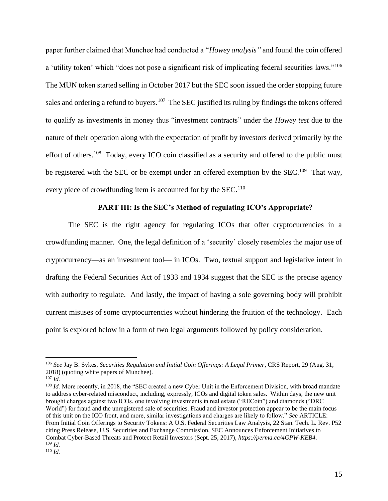paper further claimed that Munchee had conducted a "*Howey analysis"* and found the coin offered a 'utility token' which "does not pose a significant risk of implicating federal securities laws."<sup>106</sup> The MUN token started selling in October 2017 but the SEC soon issued the order stopping future sales and ordering a refund to buyers.<sup>107</sup> The SEC justified its ruling by findings the tokens offered to qualify as investments in money thus "investment contracts" under the *Howey test* due to the nature of their operation along with the expectation of profit by investors derived primarily by the effort of others.<sup>108</sup> Today, every ICO coin classified as a security and offered to the public must be registered with the SEC or be exempt under an offered exemption by the SEC.<sup>109</sup> That way, every piece of crowdfunding item is accounted for by the  $SEC.110$ 

## **PART III: Is the SEC's Method of regulating ICO's Appropriate?**

The SEC is the right agency for regulating ICOs that offer cryptocurrencies in a crowdfunding manner. One, the legal definition of a 'security' closely resembles the major use of cryptocurrency—as an investment tool— in ICOs. Two, textual support and legislative intent in drafting the Federal Securities Act of 1933 and 1934 suggest that the SEC is the precise agency with authority to regulate. And lastly, the impact of having a sole governing body will prohibit current misuses of some cryptocurrencies without hindering the fruition of the technology. Each point is explored below in a form of two legal arguments followed by policy consideration.

<sup>106</sup> *See* Jay B. Sykes, *Securities Regulation and Initial Coin Offerings: A Legal Primer*, CRS Report, 29 (Aug. 31, 2018) (quoting white papers of Munchee).

<sup>107</sup> *Id.*

<sup>&</sup>lt;sup>108</sup> *Id.* More recently, in 2018, the "SEC created a new Cyber Unit in the Enforcement Division, with broad mandate to address cyber-related misconduct, including, expressly, ICOs and digital token sales. Within days, the new unit brought charges against two ICOs, one involving investments in real estate ("RECoin") and diamonds ("DRC World") for fraud and the unregistered sale of securities. Fraud and investor protection appear to be the main focus of this unit on the ICO front, and more, similar investigations and charges are likely to follow." *See* ARTICLE: From Initial Coin Offerings to Security Tokens: A U.S. Federal Securities Law Analysis, 22 Stan. Tech. L. Rev. P52 citing Press Release, U.S. Securities and Exchange Commission, SEC Announces Enforcement Initiatives to Combat Cyber-Based Threats and Protect Retail Investors (Sept. 25, 2017), *https://perma.cc/4GPW-KEB4*. <sup>109</sup> *Id.*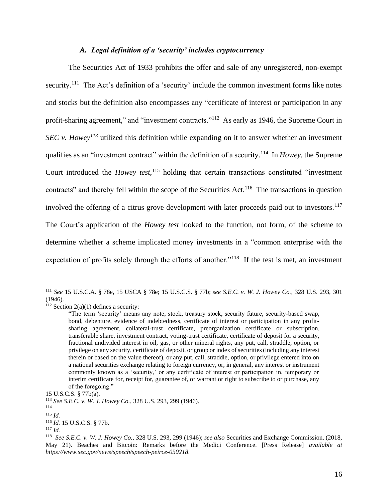## *A. Legal definition of a 'security' includes cryptocurrency*

The Securities Act of 1933 prohibits the offer and sale of any unregistered, non-exempt security.<sup>111</sup> The Act's definition of a 'security' include the common investment forms like notes and stocks but the definition also encompasses any "certificate of interest or participation in any profit-sharing agreement," and "investment contracts."<sup>112</sup> As early as 1946, the Supreme Court in *SEC v. Howey<sup>113</sup>* utilized this definition while expanding on it to answer whether an investment qualifies as an "investment contract" within the definition of a security. 114 In *Howey*, the Supreme Court introduced the *Howey test*, <sup>115</sup> holding that certain transactions constituted "investment contracts" and thereby fell within the scope of the Securities Act.<sup>116</sup> The transactions in question involved the offering of a citrus grove development with later proceeds paid out to investors.<sup>117</sup> The Court's application of the *Howey test* looked to the function, not form, of the scheme to determine whether a scheme implicated money investments in a "common enterprise with the expectation of profits solely through the efforts of another."<sup>118</sup> If the test is met, an investment

<sup>111</sup> *See* 15 U.S.C.A. § 78e, 15 USCA § 78e; 15 U.S.C.S. § 77b; *see S.E.C. v. W. J. Howey Co.*, 328 U.S. 293, 301 (1946).

 $112$  Section 2(a)(1) defines a security:

<sup>&</sup>quot;The term 'security' means any note, stock, treasury stock, security future, security-based swap, bond, debenture, evidence of indebtedness, certificate of interest or participation in any profitsharing agreement, collateral-trust certificate, preorganization certificate or subscription, transferable share, investment contract, voting-trust certificate, certificate of deposit for a security, fractional undivided interest in oil, gas, or other mineral rights, any put, call, straddle, option, or privilege on any security, certificate of deposit, or group or index of securities (including any interest therein or based on the value thereof), or any put, call, straddle, option, or privilege entered into on a national securities exchange relating to foreign currency, or, in general, any interest or instrument commonly known as a 'security,' or any certificate of interest or participation in, temporary or interim certificate for, receipt for, guarantee of, or warrant or right to subscribe to or purchase, any of the foregoing."

<sup>15</sup> U.S.C.S. § 77b(a).

<sup>113</sup> *See S.E.C. v. W. J. Howey Co.*, 328 U.S. 293, 299 (1946).

<sup>114</sup>

<sup>115</sup> *Id.* 

<sup>116</sup> *Id.* 15 U.S.C.S. § 77b.

<sup>117</sup> *Id.*

<sup>118</sup> *See S.E.C. v. W. J. Howey Co.*, 328 U.S. 293, 299 (1946); *see also* Securities and Exchange Commission. (2018, May 21). Beaches and Bitcoin: Remarks before the Medici Conference. [Press Release] *available at https://www.sec.gov/news/speech/speech-peirce-050218*.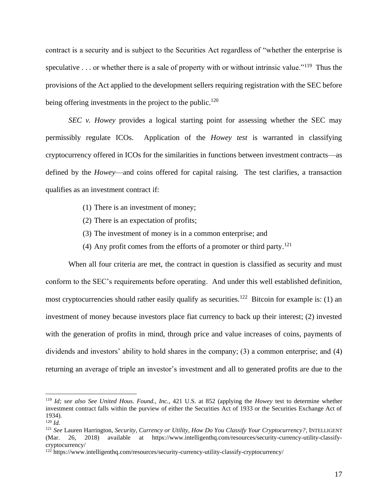contract is a security and is subject to the Securities Act regardless of "whether the enterprise is speculative . . . or whether there is a sale of property with or without intrinsic value."<sup>119</sup> Thus the provisions of the Act applied to the development sellers requiring registration with the SEC before being offering investments in the project to the public.<sup>120</sup>

*SEC v. Howey* provides a logical starting point for assessing whether the SEC may permissibly regulate ICOs. Application of the *Howey test* is warranted in classifying cryptocurrency offered in ICOs for the similarities in functions between investment contracts—as defined by the *Howey*—and coins offered for capital raising. The test clarifies, a transaction qualifies as an investment contract if:

- (1) There is an investment of money;
- (2) There is an expectation of profits;
- (3) The investment of money is in a common enterprise; and
- (4) Any profit comes from the efforts of a promoter or third party. $^{121}$

When all four criteria are met, the contract in question is classified as security and must conform to the SEC's requirements before operating. And under this well established definition, most cryptocurrencies should rather easily qualify as securities.<sup>122</sup> Bitcoin for example is: (1) an investment of money because investors place fiat currency to back up their interest; (2) invested with the generation of profits in mind, through price and value increases of coins, payments of dividends and investors' ability to hold shares in the company; (3) a common enterprise; and (4) returning an average of triple an investor's investment and all to generated profits are due to the

<sup>119</sup> *Id; see also See United Hous. Found., Inc.*, 421 U.S. at 852 (applying the *Howey* test to determine whether investment contract falls within the purview of either the Securities Act of 1933 or the Securities Exchange Act of 1934).

 $120$  *Id.* 

<sup>121</sup> *See* Lauren Harrington, *Security, Currency or Utility, How Do You Classify Your Cryptocurrency?*, INTELLIGENT (Mar. 26, 2018) available at https://www.intelligenthq.com/resources/security-currency-utility-classifycryptocurrency/

<sup>122</sup> https://www.intelligenthq.com/resources/security-currency-utility-classify-cryptocurrency/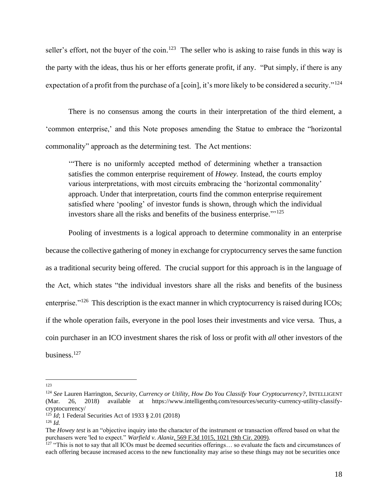seller's effort, not the buyer of the coin.<sup>123</sup> The seller who is asking to raise funds in this way is the party with the ideas, thus his or her efforts generate profit, if any. "Put simply, if there is any expectation of a profit from the purchase of a [coin], it's more likely to be considered a security."<sup>124</sup>

There is no consensus among the courts in their interpretation of the third element, a 'common enterprise,' and this Note proposes amending the Statue to embrace the "horizontal commonality" approach as the determining test. The Act mentions:

'"There is no uniformly accepted method of determining whether a transaction satisfies the common enterprise requirement of *Howey*. Instead, the courts employ various interpretations, with most circuits embracing the 'horizontal commonality' approach. Under that interpretation, courts find the common enterprise requirement satisfied where 'pooling' of investor funds is shown, through which the individual investors share all the risks and benefits of the business enterprise."' 125

Pooling of investments is a logical approach to determine commonality in an enterprise because the collective gathering of money in exchange for cryptocurrency serves the same function as a traditional security being offered. The crucial support for this approach is in the language of the Act, which states "the individual investors share all the risks and benefits of the business enterprise."<sup>126</sup> This description is the exact manner in which cryptocurrency is raised during ICOs; if the whole operation fails, everyone in the pool loses their investments and vice versa. Thus, a coin purchaser in an ICO investment shares the risk of loss or profit with *all* other investors of the business.<sup>127</sup>

<sup>123</sup>

<sup>124</sup> *See* Lauren Harrington, *Security, Currency or Utility, How Do You Classify Your Cryptocurrency?*, INTELLIGENT (Mar. 26, 2018) available at https://www.intelligenthq.com/resources/security-currency-utility-classifycryptocurrency/

<sup>&</sup>lt;sup>125</sup> *Id*; 1 Federal Securities Act of 1933 § 2.01 (2018)

 $126$  *Id.* 

The *Howey test* is an "objective inquiry into the character of the instrument or transaction offered based on what the purchasers were 'led to expect." *[Warfield](https://advance.lexis.com/document/?pdmfid=1000516&crid=ae34197e-f745-485e-8015-9c00d5c8334d&pddocfullpath=%2Fshared%2Fdocument%2Fcases%2Furn%3AcontentItem%3A5VF0-SHW1-JSC5-M4SC-00000-00&pddocid=urn%3AcontentItem%3A5VF0-SHW1-JSC5-M4SC-00000-00&pdcontentcomponentid=6419&pdshepid=urn%3AcontentItem%3A5VDV-S971-DXC8-732X-00000-00&pdteaserkey=sr0&pditab=allpods&ecomp=1yrLk&earg=sr0&prid=3bffef94-f183-406a-8a1b-e887450f1984) v. Alaniz*, 569 F.3d 1015, 1021 (9th Cir. 2009).

 $127$  "This is not to say that all ICOs must be deemed securities offerings... so evaluate the facts and circumstances of each offering because increased access to the new functionality may arise so these things may not be securities once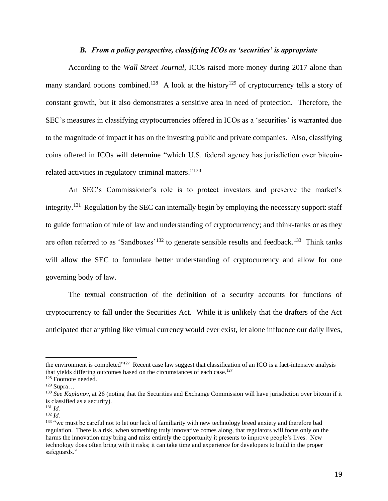#### *B. From a policy perspective, classifying ICOs as 'securities' is appropriate*

According to the *Wall Street Journal*, ICOs raised more money during 2017 alone than many standard options combined.<sup>128</sup> A look at the history<sup>129</sup> of cryptocurrency tells a story of constant growth, but it also demonstrates a sensitive area in need of protection. Therefore, the SEC's measures in classifying cryptocurrencies offered in ICOs as a 'securities' is warranted due to the magnitude of impact it has on the investing public and private companies. Also, classifying coins offered in ICOs will determine "which U.S. federal agency has jurisdiction over bitcoinrelated activities in regulatory criminal matters."<sup>130</sup>

An SEC's Commissioner's role is to protect investors and preserve the market's integrity.<sup>131</sup> Regulation by the SEC can internally begin by employing the necessary support: staff to guide formation of rule of law and understanding of cryptocurrency; and think-tanks or as they are often referred to as 'Sandboxes'<sup>132</sup> to generate sensible results and feedback.<sup>133</sup> Think tanks will allow the SEC to formulate better understanding of cryptocurrency and allow for one governing body of law.

The textual construction of the definition of a security accounts for functions of cryptocurrency to fall under the Securities Act. While it is unlikely that the drafters of the Act anticipated that anything like virtual currency would ever exist, let alone influence our daily lives,

the environment is completed"<sup>127</sup> Recent case law suggest that classification of an ICO is a fact-intensive analysis that yields differing outcomes based on the circumstances of each case.<sup>127</sup>

<sup>128</sup> Footnote needed.

 $129$  Supra…

<sup>&</sup>lt;sup>130</sup> See Kaplanov, at 26 (noting that the Securities and Exchange Commission will have jurisdiction over bitcoin if it is classified as a security).

<sup>131</sup> *Id.*

<sup>132</sup> *Id.* 

<sup>&</sup>lt;sup>133</sup> "we must be careful not to let our lack of familiarity with new technology breed anxiety and therefore bad regulation. There is a risk, when something truly innovative comes along, that regulators will focus only on the harms the innovation may bring and miss entirely the opportunity it presents to improve people's lives. New technology does often bring with it risks; it can take time and experience for developers to build in the proper safeguards."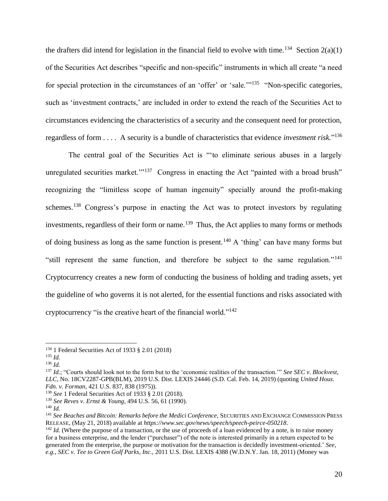the drafters did intend for legislation in the financial field to evolve with time.<sup>134</sup> Section  $2(a)(1)$ of the Securities Act describes "specific and non-specific" instruments in which all create "a need for special protection in the circumstances of an 'offer' or 'sale."<sup>135</sup> "Non-specific categories, such as 'investment contracts,' are included in order to extend the reach of the Securities Act to circumstances evidencing the characteristics of a security and the consequent need for protection, regardless of form . . . . A security is a bundle of characteristics that evidence *investment risk.*" 136

The central goal of the Securities Act is "'to eliminate serious abuses in a largely unregulated securities market."<sup>137</sup> Congress in enacting the Act "painted with a broad brush" recognizing the "limitless scope of human ingenuity" specially around the profit-making schemes.<sup>138</sup> Congress's purpose in enacting the Act was to protect investors by regulating investments, regardless of their form or name.<sup>139</sup> Thus, the Act applies to many forms or methods of doing business as long as the same function is present.<sup>140</sup> A 'thing' can have many forms but "still represent the same function, and therefore be subject to the same regulation."<sup>141</sup> Cryptocurrency creates a new form of conducting the business of holding and trading assets, yet the guideline of who governs it is not alerted, for the essential functions and risks associated with cryptocurrency "is the creative heart of the financial world."<sup>142</sup>

<sup>134</sup> 1 Federal Securities Act of 1933 § 2.01 (2018)

<sup>135</sup> *Id.*

<sup>136</sup> *Id.*

<sup>137</sup> *Id.*; "Courts should look not to the form but to the 'economic realities of the transaction.'" *See SEC v. Blockvest, LLC*, No. 18CV2287-GPB(BLM), 2019 U.S. Dist. LEXIS 24446 (S.D. Cal. Feb. 14, 2019) (quoting *United Hous. Fdn. v. Forman*, 421 U.S. 837, 838 (1975)).

<sup>138</sup> *See* 1 Federal Securities Act of 1933 § 2.01 (2018).

<sup>139</sup> *See Reves v. Ernst & Young*, 494 U.S. 56, 61 (1990).

<sup>140</sup> *Id.*

<sup>141</sup> *See Beaches and Bitcoin: Remarks before the Medici Conference,* SECURITIES AND EXCHANGE COMMISSION PRESS RELEASE, (May 21, 2018) available at *https://www.sec.gov/news/speech/speech-peirce-050218*.

<sup>&</sup>lt;sup>142</sup> *Id.* (Where the purpose of a transaction, or the use of proceeds of a loan evidenced by a note, is to raise money for a business enterprise, and the lender ("purchaser") of the note is interested primarily in a return expected to be generated from the enterprise, the purpose or motivation for the transaction is decidedly investment-oriented.' *See, e.g.*, *SEC v. Tee to Green Golf Parks, Inc.,* 2011 U.S. Dist. LEXIS 4388 (W.D.N.Y. Jan. 18, 2011) (Money was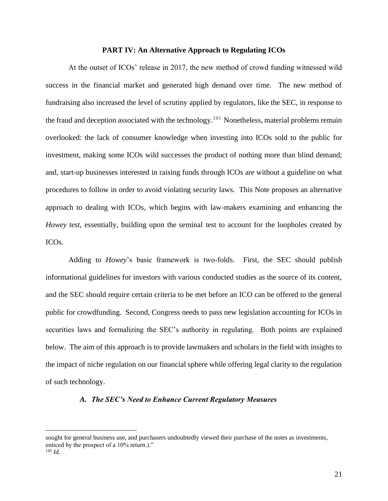#### **PART IV: An Alternative Approach to Regulating ICOs**

At the outset of ICOs' release in 2017, the new method of crowd funding witnessed wild success in the financial market and generated high demand over time. The new method of fundraising also increased the level of scrutiny applied by regulators, like the SEC, in response to the fraud and deception associated with the technology.<sup>143</sup> Nonetheless, material problems remain overlooked: the lack of consumer knowledge when investing into ICOs sold to the public for investment, making some ICOs wild successes the product of nothing more than blind demand; and, start-up businesses interested in raising funds through ICOs are without a guideline on what procedures to follow in order to avoid violating security laws. This Note proposes an alternative approach to dealing with ICOs, which begins with law-makers examining and enhancing the *Howey test*, essentially, building upon the seminal test to account for the loopholes created by ICOs.

Adding to *Howey*'s basic framework is two-folds. First, the SEC should publish informational guidelines for investors with various conducted studies as the source of its content, and the SEC should require certain criteria to be met before an ICO can be offered to the general public for crowdfunding. Second, Congress needs to pass new legislation accounting for ICOs in securities laws and formalizing the SEC's authority in regulating. Both points are explained below. The aim of this approach is to provide lawmakers and scholars in the field with insights to the impact of niche regulation on our financial sphere while offering legal clarity to the regulation of such technology.

#### *A. The SEC's Need to Enhance Current Regulatory Measures*

sought for general business use, and purchasers undoubtedly viewed their purchase of the notes as investments, enticed by the prospect of a 10% return.)." <sup>143</sup> *Id.*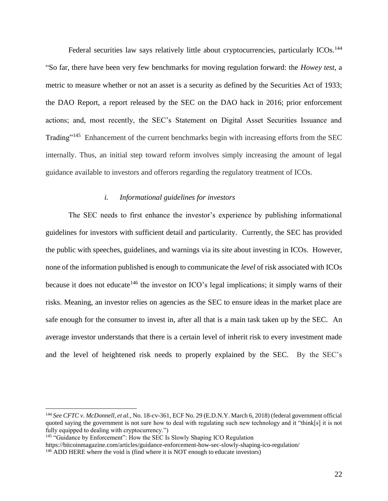Federal securities law says relatively little about cryptocurrencies, particularly ICOs.<sup>144</sup> "So far, there have been very few benchmarks for moving regulation forward: the *Howey test*, a metric to measure whether or not an asset is a security as defined by the Securities Act of 1933; the DAO Report, a report released by the SEC on the DAO hack in 2016; prior enforcement actions; and, most recently, the SEC's Statement on Digital Asset Securities Issuance and Trading"<sup>145</sup> Enhancement of the current benchmarks begin with increasing efforts from the SEC internally. Thus, an initial step toward reform involves simply increasing the amount of legal guidance available to investors and offerors regarding the regulatory treatment of ICOs.

### *i. Informational guidelines for investors*

The SEC needs to first enhance the investor's experience by publishing informational guidelines for investors with sufficient detail and particularity. Currently, the SEC has provided the public with speeches, guidelines, and warnings via its site about investing in ICOs. However, none of the information published is enough to communicate the *level* of risk associated with ICOs because it does not educate<sup>146</sup> the investor on ICO's legal implications; it simply warns of their risks. Meaning, an investor relies on agencies as the SEC to ensure ideas in the market place are safe enough for the consumer to invest in, after all that is a main task taken up by the SEC. An average investor understands that there is a certain level of inherit risk to every investment made and the level of heightened risk needs to properly explained by the SEC. By the SEC's

<sup>144</sup> *See CFTC v. McDonnell, et al.,* No. 18-cv-361, ECF No. 29 (E.D.N.Y. March 6, 2018) (federal government official quoted saying the government is not sure how to deal with regulating such new technology and it "think[s] it is not fully equipped to dealing with cryptocurrency.")

<sup>&</sup>lt;sup>145</sup> "Guidance by Enforcement": How the SEC Is Slowly Shaping ICO Regulation

https://bitcoinmagazine.com/articles/guidance-enforcement-how-sec-slowly-shaping-ico-regulation/

<sup>&</sup>lt;sup>146</sup> ADD HERE where the void is (find where it is NOT enough to educate investors)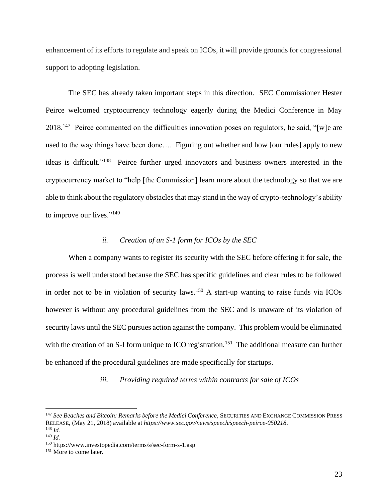enhancement of its efforts to regulate and speak on ICOs, it will provide grounds for congressional support to adopting legislation.

The SEC has already taken important steps in this direction. SEC Commissioner Hester Peirce welcomed cryptocurrency technology eagerly during the Medici Conference in May 2018.<sup>147</sup> Peirce commented on the difficulties innovation poses on regulators, he said, "[w]e are used to the way things have been done…. Figuring out whether and how [our rules] apply to new ideas is difficult."<sup>148</sup> Peirce further urged innovators and business owners interested in the cryptocurrency market to "help [the Commission] learn more about the technology so that we are able to think about the regulatory obstacles that may stand in the way of crypto-technology's ability to improve our lives."<sup>149</sup>

# *ii. Creation of an S-1 form for ICOs by the SEC*

When a company wants to register its security with the SEC before offering it for sale, the process is well understood because the SEC has specific guidelines and clear rules to be followed in order not to be in violation of security laws.<sup>150</sup> A start-up wanting to raise funds via ICOs however is without any procedural guidelines from the SEC and is unaware of its violation of security laws until the SEC pursues action against the company. This problem would be eliminated with the creation of an S-I form unique to ICO registration.<sup>151</sup> The additional measure can further be enhanced if the procedural guidelines are made specifically for startups.

*iii. Providing required terms within contracts for sale of ICOs* 

<sup>147</sup> *See Beaches and Bitcoin: Remarks before the Medici Conference,* SECURITIES AND EXCHANGE COMMISSION PRESS RELEASE, (May 21, 2018) available at *https://www.sec.gov/news/speech/speech-peirce-050218*. <sup>148</sup> *Id.*

<sup>149</sup> *Id.*

<sup>150</sup> https://www.investopedia.com/terms/s/sec-form-s-1.asp

<sup>&</sup>lt;sup>151</sup> More to come later.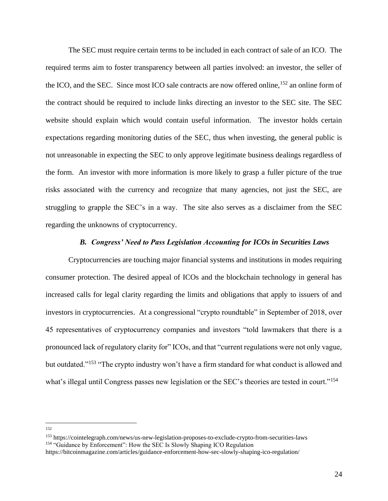The SEC must require certain terms to be included in each contract of sale of an ICO. The required terms aim to foster transparency between all parties involved: an investor, the seller of the ICO, and the SEC. Since most ICO sale contracts are now offered online,<sup>152</sup> an online form of the contract should be required to include links directing an investor to the SEC site. The SEC website should explain which would contain useful information. The investor holds certain expectations regarding monitoring duties of the SEC, thus when investing, the general public is not unreasonable in expecting the SEC to only approve legitimate business dealings regardless of the form. An investor with more information is more likely to grasp a fuller picture of the true risks associated with the currency and recognize that many agencies, not just the SEC, are struggling to grapple the SEC's in a way. The site also serves as a disclaimer from the SEC regarding the unknowns of cryptocurrency.

## *B. Congress' Need to Pass Legislation Accounting for ICOs in Securities Laws*

Cryptocurrencies are touching major financial systems and institutions in modes requiring consumer protection. The desired appeal of ICOs and the blockchain technology in general has increased calls for legal clarity regarding the limits and obligations that apply to issuers of and investors in cryptocurrencies. At a congressional "crypto roundtable" in September of 2018, over 45 representatives of cryptocurrency companies and investors "told lawmakers that there is a pronounced lack of regulatory clarity for" ICOs, and that "current regulations were not only vague, but outdated."<sup>153</sup> "The crypto industry won't have a firm standard for what conduct is allowed and what's illegal until Congress passes new legislation or the SEC's theories are tested in court."<sup>154</sup>

<sup>152</sup>

<sup>153</sup> https://cointelegraph.com/news/us-new-legislation-proposes-to-exclude-crypto-from-securities-laws <sup>154</sup> "Guidance by Enforcement": How the SEC Is Slowly Shaping ICO Regulation

https://bitcoinmagazine.com/articles/guidance-enforcement-how-sec-slowly-shaping-ico-regulation/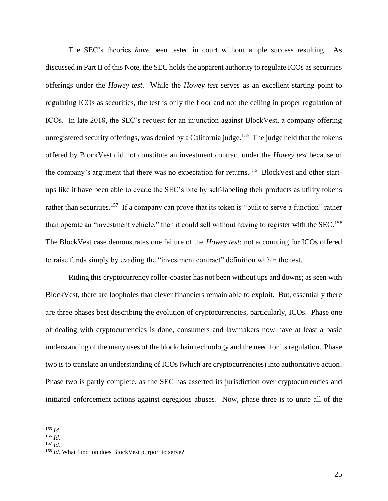The SEC's theories *have* been tested in court without ample success resulting. As discussed in Part II of this Note, the SEC holds the apparent authority to regulate ICOs as securities offerings under the *Howey test*. While the *Howey test* serves as an excellent starting point to regulating ICOs as securities, the test is only the floor and not the ceiling in proper regulation of ICOs. In late 2018, the SEC's request for an injunction against BlockVest, a company offering unregistered security offerings, was denied by a California judge.<sup>155</sup> The judge held that the tokens offered by BlockVest did not constitute an investment contract under the *Howey test* because of the company's argument that there was no expectation for returns.<sup>156</sup> BlockVest and other startups like it have been able to evade the SEC's bite by self-labeling their products as utility tokens rather than securities.<sup>157</sup> If a company can prove that its token is "built to serve a function" rather than operate an "investment vehicle," then it could sell without having to register with the SEC.<sup>158</sup> The BlockVest case demonstrates one failure of the *Howey test*: not accounting for ICOs offered to raise funds simply by evading the "investment contract" definition within the test.

Riding this cryptocurrency roller-coaster has not been without ups and downs; as seen with BlockVest, there are loopholes that clever financiers remain able to exploit. But, essentially there are three phases best describing the evolution of cryptocurrencies, particularly, ICOs. Phase one of dealing with cryptocurrencies is done, consumers and lawmakers now have at least a basic understanding of the many uses of the blockchain technology and the need for its regulation. Phase two is to translate an understanding of ICOs (which are cryptocurrencies) into authoritative action. Phase two is partly complete, as the SEC has asserted its jurisdiction over cryptocurrencies and initiated enforcement actions against egregious abuses. Now, phase three is to unite all of the

<sup>155</sup> *Id.*

<sup>156</sup> *Id.*

<sup>157</sup> *Id.*

<sup>&</sup>lt;sup>158</sup> *Id.* What function does BlockVest purport to serve?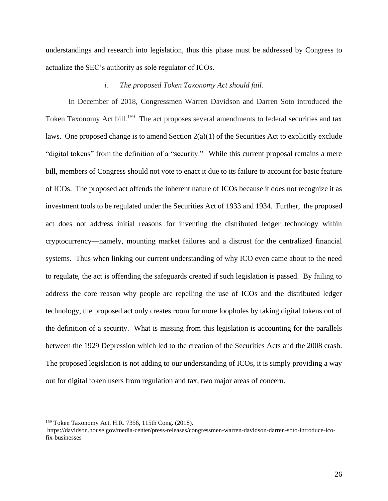understandings and research into legislation, thus this phase must be addressed by Congress to actualize the SEC's authority as sole regulator of ICOs.

## *i. The proposed Token Taxonomy Act should fail.*

In December of 2018, Congressmen Warren Davidson and Darren Soto introduced the Token Taxonomy Act bill.<sup>159</sup> The act proposes several amendments to federal securities and tax laws. One proposed change is to amend Section 2(a)(1) of the Securities Act to explicitly exclude "digital tokens" from the definition of a "security." While this current proposal remains a mere bill, members of Congress should not vote to enact it due to its failure to account for basic feature of ICOs. The proposed act offends the inherent nature of ICOs because it does not recognize it as investment tools to be regulated under the Securities Act of 1933 and 1934. Further, the proposed act does not address initial reasons for inventing the distributed ledger technology within cryptocurrency—namely, mounting market failures and a distrust for the centralized financial systems. Thus when linking our current understanding of why ICO even came about to the need to regulate, the act is offending the safeguards created if such legislation is passed. By failing to address the core reason why people are repelling the use of ICOs and the distributed ledger technology, the proposed act only creates room for more loopholes by taking digital tokens out of the definition of a security. What is missing from this legislation is accounting for the parallels between the 1929 Depression which led to the creation of the Securities Acts and the 2008 crash. The proposed legislation is not adding to our understanding of ICOs, it is simply providing a way out for digital token users from regulation and tax, two major areas of concern.

<sup>159</sup> Token Taxonomy Act, H.R. 7356, 115th Cong. (2018).

[https://davidson.house.gov/media-center/press-releases/congressmen-warren-davidson-darren-soto-introduce-ico](https://davidson.house.gov/media-center/press-releases/congressmen-warren-davidson-darren-soto-introduce-ico-fix-businesses)[fix-businesses](https://davidson.house.gov/media-center/press-releases/congressmen-warren-davidson-darren-soto-introduce-ico-fix-businesses)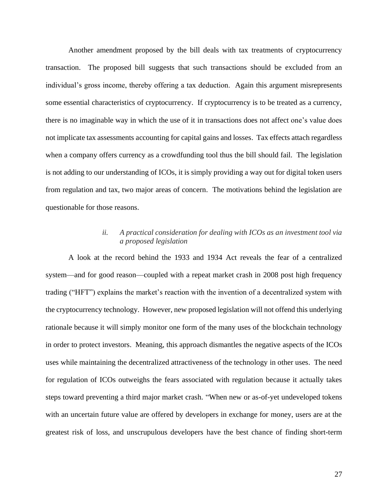Another amendment proposed by the bill deals with tax treatments of cryptocurrency transaction. The proposed bill suggests that such transactions should be excluded from an individual's gross income, thereby offering a tax deduction. Again this argument misrepresents some essential characteristics of cryptocurrency. If cryptocurrency is to be treated as a currency, there is no imaginable way in which the use of it in transactions does not affect one's value does not implicate tax assessments accounting for capital gains and losses. Tax effects attach regardless when a company offers currency as a crowdfunding tool thus the bill should fail. The legislation is not adding to our understanding of ICOs, it is simply providing a way out for digital token users from regulation and tax, two major areas of concern. The motivations behind the legislation are questionable for those reasons.

# *ii. A practical consideration for dealing with ICOs as an investment tool via a proposed legislation*

A look at the record behind the 1933 and 1934 Act reveals the fear of a centralized system—and for good reason—coupled with a repeat market crash in 2008 post high frequency trading ("HFT") explains the market's reaction with the invention of a decentralized system with the cryptocurrency technology. However, new proposed legislation will not offend this underlying rationale because it will simply monitor one form of the many uses of the blockchain technology in order to protect investors. Meaning, this approach dismantles the negative aspects of the ICOs uses while maintaining the decentralized attractiveness of the technology in other uses. The need for regulation of ICOs outweighs the fears associated with regulation because it actually takes steps toward preventing a third major market crash. "When new or as-of-yet undeveloped tokens with an uncertain future value are offered by developers in exchange for money, users are at the greatest risk of loss, and unscrupulous developers have the best chance of finding short-term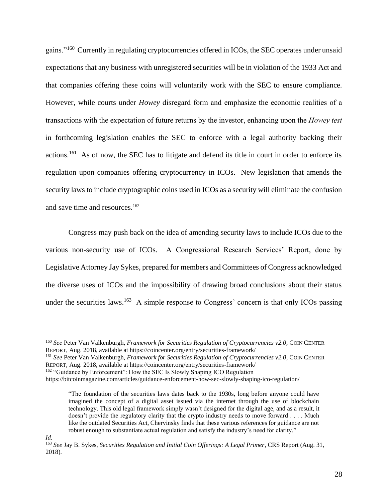gains."<sup>160</sup> Currently in regulating cryptocurrencies offered in ICOs, the SEC operates under unsaid expectations that any business with unregistered securities will be in violation of the 1933 Act and that companies offering these coins will voluntarily work with the SEC to ensure compliance. However, while courts under *Howey* disregard form and emphasize the economic realities of a transactions with the expectation of future returns by the investor, enhancing upon the *Howey test* in forthcoming legislation enables the SEC to enforce with a legal authority backing their actions.<sup>161</sup> As of now, the SEC has to litigate and defend its title in court in order to enforce its regulation upon companies offering cryptocurrency in ICOs. New legislation that amends the security laws to include cryptographic coins used in ICOs as a security will eliminate the confusion and save time and resources.<sup>162</sup>

Congress may push back on the idea of amending security laws to include ICOs due to the various non-security use of ICOs. A Congressional Research Services' Report, done by Legislative Attorney Jay Sykes, prepared for members and Committees of Congress acknowledged the diverse uses of ICOs and the impossibility of drawing broad conclusions about their status under the securities laws.<sup>163</sup> A simple response to Congress' concern is that only ICOs passing

<sup>160</sup> *See* Peter Van Valkenburgh, *Framework for Securities Regulation of Cryptocurrencies v2.0*, COIN CENTER REPORT, Aug. 2018, available at https://coincenter.org/entry/securities-framework/

<sup>161</sup> *See* Peter Van Valkenburgh, *Framework for Securities Regulation of Cryptocurrencies v2.0*, COIN CENTER REPORT, Aug. 2018, available at https://coincenter.org/entry/securities-framework/

<sup>162</sup> "Guidance by Enforcement": How the SEC Is Slowly Shaping ICO Regulation

https://bitcoinmagazine.com/articles/guidance-enforcement-how-sec-slowly-shaping-ico-regulation/

<sup>&</sup>quot;The foundation of the securities laws dates back to the 1930s, long before anyone could have imagined the concept of a digital asset issued via the internet through the use of blockchain technology. This old legal framework simply wasn't designed for the digital age, and as a result, it doesn't provide the regulatory clarity that the crypto industry needs to move forward . . . . Much like the outdated Securities Act, Chervinsky finds that these various references for guidance are not robust enough to substantiate actual regulation and satisfy the industry's need for clarity."

*Id.* 

<sup>163</sup> *See* Jay B. Sykes, *Securities Regulation and Initial Coin Offerings: A Legal Primer*, CRS Report (Aug. 31, 2018).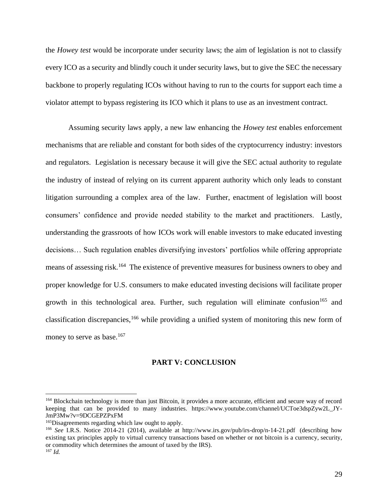the *Howey test* would be incorporate under security laws; the aim of legislation is not to classify every ICO as a security and blindly couch it under security laws, but to give the SEC the necessary backbone to properly regulating ICOs without having to run to the courts for support each time a violator attempt to bypass registering its ICO which it plans to use as an investment contract.

Assuming security laws apply, a new law enhancing the *Howey test* enables enforcement mechanisms that are reliable and constant for both sides of the cryptocurrency industry: investors and regulators. Legislation is necessary because it will give the SEC actual authority to regulate the industry of instead of relying on its current apparent authority which only leads to constant litigation surrounding a complex area of the law. Further, enactment of legislation will boost consumers' confidence and provide needed stability to the market and practitioners. Lastly, understanding the grassroots of how ICOs work will enable investors to make educated investing decisions… Such regulation enables diversifying investors' portfolios while offering appropriate means of assessing risk.<sup>164</sup> The existence of preventive measures for business owners to obey and proper knowledge for U.S. consumers to make educated investing decisions will facilitate proper growth in this technological area. Further, such regulation will eliminate confusion<sup>165</sup> and classification discrepancies,<sup>166</sup> while providing a unified system of monitoring this new form of money to serve as base.<sup>167</sup>

## **PART V: CONCLUSION**

<sup>&</sup>lt;sup>164</sup> Blockchain technology is more than just Bitcoin, it provides a more accurate, efficient and secure way of record keeping that can be provided to many industries. https://www.youtube.com/channel/UCToe3dspZyw2L\_JY-JmP3Mw?v=9DCGEPZPxFM

<sup>165</sup>Disagreements regarding which law ought to apply.

<sup>166</sup> *See* I.R.S. Notice 2014-21 (2014), available at http://www.irs.gov/pub/irs-drop/n-14-21.pdf (describing how existing tax principles apply to virtual currency transactions based on whether or not bitcoin is a currency, security, or commodity which determines the amount of taxed by the IRS). <sup>167</sup> *Id.*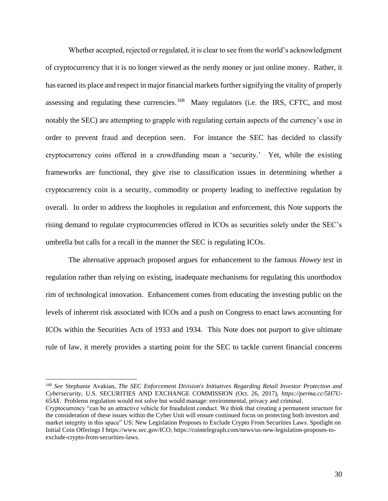Whether accepted, rejected or regulated, it is clear to see from the world's acknowledgment of cryptocurrency that it is no longer viewed as the nerdy money or just online money. Rather, it has earned its place and respect in major financial markets further signifying the vitality of properly assessing and regulating these currencies.<sup>168</sup> Many regulators (i.e. the IRS, CFTC, and most notably the SEC) are attempting to grapple with regulating certain aspects of the currency's use in order to prevent fraud and deception seen. For instance the SEC has decided to classify cryptocurrency coins offered in a crowdfunding mean a 'security.' Yet, while the existing frameworks are functional, they give rise to classification issues in determining whether a cryptocurrency coin is a security, commodity or property leading to ineffective regulation by overall. In order to address the loopholes in regulation and enforcement, this Note supports the rising demand to regulate cryptocurrencies offered in ICOs as securities solely under the SEC's umbrella but calls for a recall in the manner the SEC is regulating ICOs.

The alternative approach proposed argues for enhancement to the famous *Howey test* in regulation rather than relying on existing, inadequate mechanisms for regulating this unorthodox rim of technological innovation. Enhancement comes from educating the investing public on the levels of inherent risk associated with ICOs and a push on Congress to enact laws accounting for ICOs within the Securities Acts of 1933 and 1934. This Note does not purport to give ultimate rule of law, it merely provides a starting point for the SEC to tackle current financial concerns

<sup>168</sup> *See* Stephanie Avakian, *The SEC Enforcement Division's Initiatives Regarding Retail Investor Protection and Cybersecurity*, U.S. SECURITIES AND EXCHANGE COMMISSION (Oct. 26, 2017), *https://perma.cc/5H7U-65AX*. Problems regulation would not solve but would manage: environmental, privacy and criminal.

Cryptocurrency "can be an attractive vehicle for fraudulent conduct. We think that creating a permanent structure for the consideration of these issues within the Cyber Unit will ensure continued focus on protecting both investors and market integrity in this space" US: New Legislation Proposes to Exclude Crypto From Securities Laws. Spotlight on Initial Coin Offerings I https://www.sec.gov/ICO; https://cointelegraph.com/news/us-new-legislation-proposes-toexclude-crypto-from-securities-laws.